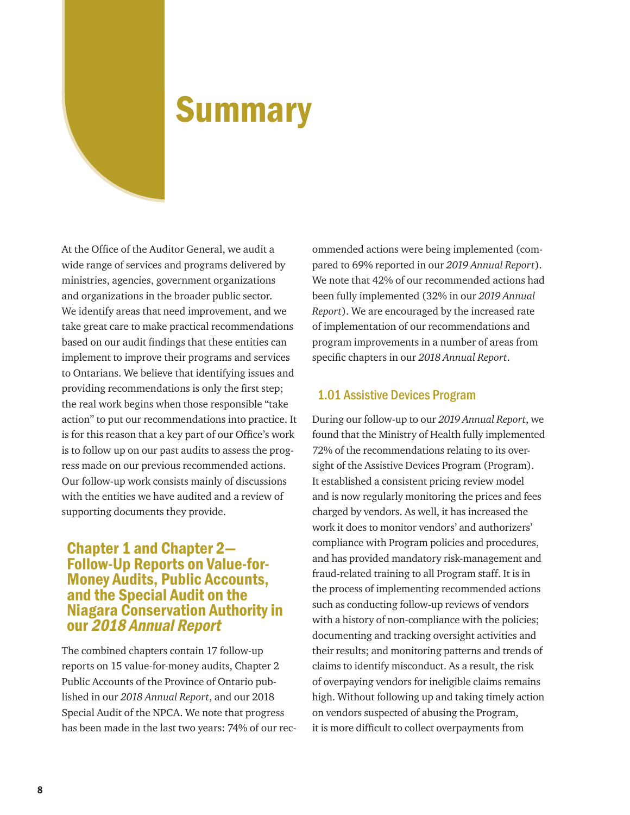# **Summary**

At the Office of the Auditor General, we audit a wide range of services and programs delivered by ministries, agencies, government organizations and organizations in the broader public sector. We identify areas that need improvement, and we take great care to make practical recommendations based on our audit findings that these entities can implement to improve their programs and services to Ontarians. We believe that identifying issues and providing recommendations is only the first step; the real work begins when those responsible "take action" to put our recommendations into practice. It is for this reason that a key part of our Office's work is to follow up on our past audits to assess the progress made on our previous recommended actions. Our follow-up work consists mainly of discussions with the entities we have audited and a review of supporting documents they provide.

## Chapter 1 and Chapter 2— Follow-Up Reports on Value-for-Money Audits, Public Accounts, and the Special Audit on the Niagara Conservation Authority in our 2018 Annual Report

The combined chapters contain 17 follow-up reports on 15 value-for-money audits, Chapter 2 Public Accounts of the Province of Ontario published in our *2018 Annual Report*, and our 2018 Special Audit of the NPCA. We note that progress has been made in the last two years: 74% of our recommended actions were being implemented (compared to 69% reported in our *2019 Annual Report*). We note that 42% of our recommended actions had been fully implemented (32% in our *2019 Annual Report*). We are encouraged by the increased rate of implementation of our recommendations and program improvements in a number of areas from specific chapters in our *2018 Annual Report*.

#### 1.01 Assistive Devices Program

During our follow-up to our *2019 Annual Report*, we found that the Ministry of Health fully implemented 72% of the recommendations relating to its oversight of the Assistive Devices Program (Program). It established a consistent pricing review model and is now regularly monitoring the prices and fees charged by vendors. As well, it has increased the work it does to monitor vendors' and authorizers' compliance with Program policies and procedures, and has provided mandatory risk-management and fraud-related training to all Program staff. It is in the process of implementing recommended actions such as conducting follow-up reviews of vendors with a history of non-compliance with the policies; documenting and tracking oversight activities and their results; and monitoring patterns and trends of claims to identify misconduct. As a result, the risk of overpaying vendors for ineligible claims remains high. Without following up and taking timely action on vendors suspected of abusing the Program, it is more difficult to collect overpayments from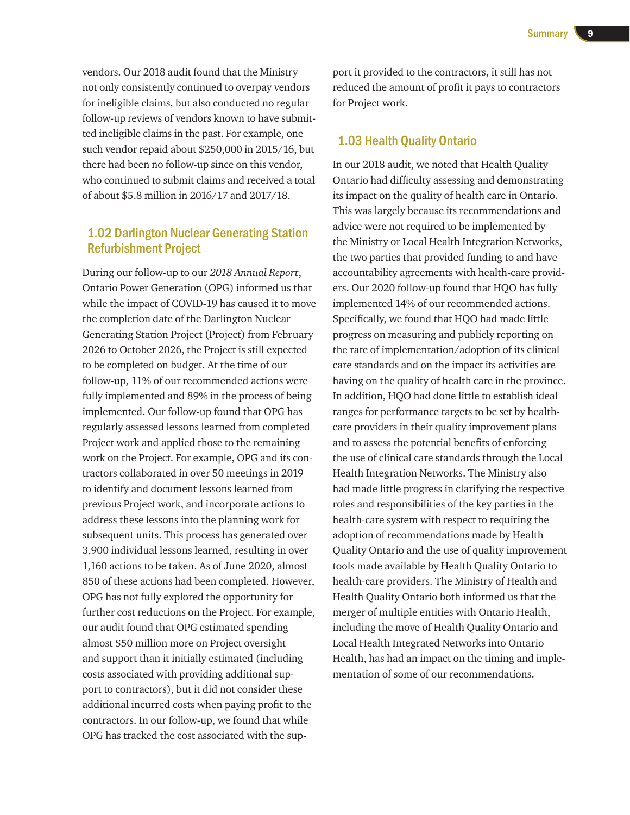vendors. Our 2018 audit found that the Ministry not only consistently continued to overpay vendors for ineligible claims, but also conducted no regular follow-up reviews of vendors known to have submitted ineligible claims in the past. For example, one such vendor repaid about \$250,000 in 2015/16, but there had been no follow-up since on this vendor, who continued to submit claims and received a total of about \$5.8 million in 2016/17 and 2017/18.

### 1.02 Darlington Nuclear Generating Station Refurbishment Project

During our follow-up to our *2018 Annual Report*, Ontario Power Generation (OPG) informed us that while the impact of COVID-19 has caused it to move the completion date of the Darlington Nuclear Generating Station Project (Project) from February 2026 to October 2026, the Project is still expected to be completed on budget. At the time of our follow-up, 11% of our recommended actions were fully implemented and 89% in the process of being implemented. Our follow-up found that OPG has regularly assessed lessons learned from completed Project work and applied those to the remaining work on the Project. For example, OPG and its contractors collaborated in over 50 meetings in 2019 to identify and document lessons learned from previous Project work, and incorporate actions to address these lessons into the planning work for subsequent units. This process has generated over 3,900 individual lessons learned, resulting in over 1,160 actions to be taken. As of June 2020, almost 850 of these actions had been completed. However, OPG has not fully explored the opportunity for further cost reductions on the Project. For example, our audit found that OPG estimated spending almost \$50 million more on Project oversight and support than it initially estimated (including costs associated with providing additional support to contractors), but it did not consider these additional incurred costs when paying profit to the contractors. In our follow-up, we found that while OPG has tracked the cost associated with the sup-

port it provided to the contractors, it still has not reduced the amount of profit it pays to contractors for Project work.

#### 1.03 Health Quality Ontario

In our 2018 audit, we noted that Health Quality Ontario had difficulty assessing and demonstrating its impact on the quality of health care in Ontario. This was largely because its recommendations and advice were not required to be implemented by the Ministry or Local Health Integration Networks, the two parties that provided funding to and have accountability agreements with health-care providers. Our 2020 follow-up found that HQO has fully implemented 14% of our recommended actions. Specifically, we found that HQO had made little progress on measuring and publicly reporting on the rate of implementation/adoption of its clinical care standards and on the impact its activities are having on the quality of health care in the province. In addition, HQO had done little to establish ideal ranges for performance targets to be set by healthcare providers in their quality improvement plans and to assess the potential benefits of enforcing the use of clinical care standards through the Local Health Integration Networks. The Ministry also had made little progress in clarifying the respective roles and responsibilities of the key parties in the health-care system with respect to requiring the adoption of recommendations made by Health Quality Ontario and the use of quality improvement tools made available by Health Quality Ontario to health-care providers. The Ministry of Health and Health Quality Ontario both informed us that the merger of multiple entities with Ontario Health, including the move of Health Quality Ontario and Local Health Integrated Networks into Ontario Health, has had an impact on the timing and implementation of some of our recommendations.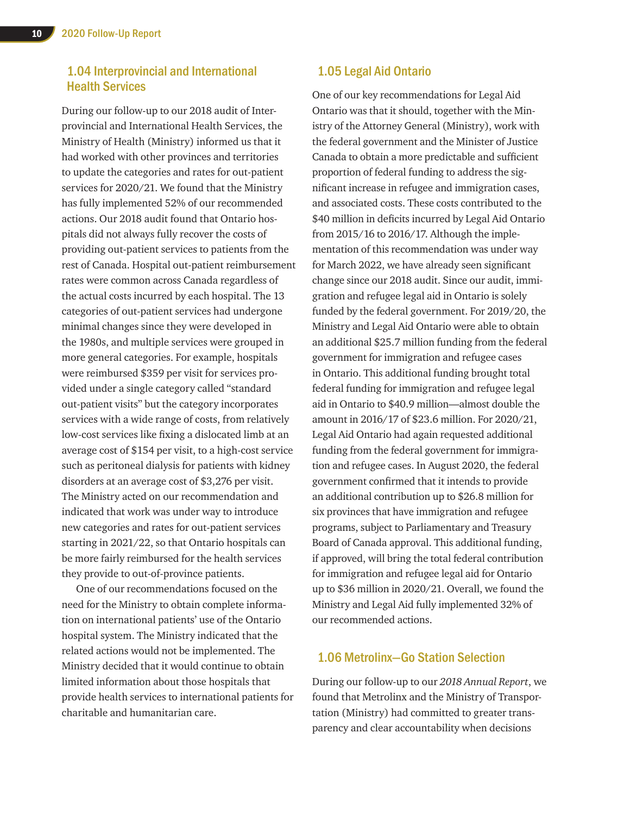### 1.04 Interprovincial and International Health Services

During our follow-up to our 2018 audit of Interprovincial and International Health Services, the Ministry of Health (Ministry) informed us that it had worked with other provinces and territories to update the categories and rates for out-patient services for 2020/21. We found that the Ministry has fully implemented 52% of our recommended actions. Our 2018 audit found that Ontario hospitals did not always fully recover the costs of providing out-patient services to patients from the rest of Canada. Hospital out-patient reimbursement rates were common across Canada regardless of the actual costs incurred by each hospital. The 13 categories of out-patient services had undergone minimal changes since they were developed in the 1980s, and multiple services were grouped in more general categories. For example, hospitals were reimbursed \$359 per visit for services provided under a single category called "standard out-patient visits" but the category incorporates services with a wide range of costs, from relatively low-cost services like fixing a dislocated limb at an average cost of \$154 per visit, to a high-cost service such as peritoneal dialysis for patients with kidney disorders at an average cost of \$3,276 per visit. The Ministry acted on our recommendation and indicated that work was under way to introduce new categories and rates for out-patient services starting in 2021/22, so that Ontario hospitals can be more fairly reimbursed for the health services they provide to out-of-province patients.

One of our recommendations focused on the need for the Ministry to obtain complete information on international patients' use of the Ontario hospital system. The Ministry indicated that the related actions would not be implemented. The Ministry decided that it would continue to obtain limited information about those hospitals that provide health services to international patients for charitable and humanitarian care.

#### 1.05 Legal Aid Ontario

One of our key recommendations for Legal Aid Ontario was that it should, together with the Ministry of the Attorney General (Ministry), work with the federal government and the Minister of Justice Canada to obtain a more predictable and sufficient proportion of federal funding to address the significant increase in refugee and immigration cases, and associated costs. These costs contributed to the \$40 million in deficits incurred by Legal Aid Ontario from 2015/16 to 2016/17. Although the implementation of this recommendation was under way for March 2022, we have already seen significant change since our 2018 audit. Since our audit, immigration and refugee legal aid in Ontario is solely funded by the federal government. For 2019/20, the Ministry and Legal Aid Ontario were able to obtain an additional \$25.7 million funding from the federal government for immigration and refugee cases in Ontario. This additional funding brought total federal funding for immigration and refugee legal aid in Ontario to \$40.9 million—almost double the amount in 2016/17 of \$23.6 million. For 2020/21, Legal Aid Ontario had again requested additional funding from the federal government for immigration and refugee cases. In August 2020, the federal government confirmed that it intends to provide an additional contribution up to \$26.8 million for six provinces that have immigration and refugee programs, subject to Parliamentary and Treasury Board of Canada approval. This additional funding, if approved, will bring the total federal contribution for immigration and refugee legal aid for Ontario up to \$36 million in 2020/21. Overall, we found the Ministry and Legal Aid fully implemented 32% of our recommended actions.

#### 1.06 Metrolinx—Go Station Selection

During our follow-up to our *2018 Annual Report*, we found that Metrolinx and the Ministry of Transportation (Ministry) had committed to greater transparency and clear accountability when decisions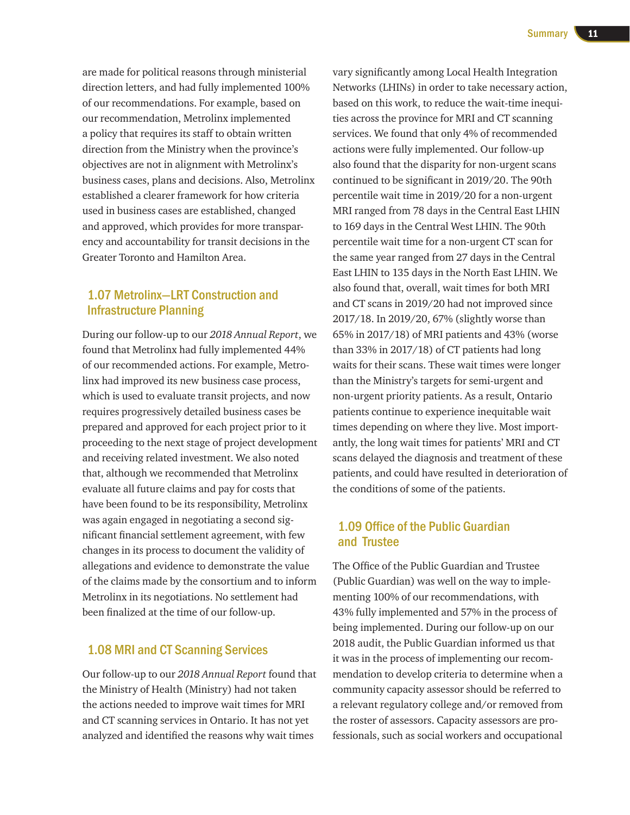are made for political reasons through ministerial direction letters, and had fully implemented 100% of our recommendations. For example, based on our recommendation, Metrolinx implemented a policy that requires its staff to obtain written direction from the Ministry when the province's objectives are not in alignment with Metrolinx's business cases, plans and decisions. Also, Metrolinx established a clearer framework for how criteria used in business cases are established, changed and approved, which provides for more transparency and accountability for transit decisions in the Greater Toronto and Hamilton Area.

## 1.07 Metrolinx—LRT Construction and Infrastructure Planning

During our follow-up to our *2018 Annual Report*, we found that Metrolinx had fully implemented 44% of our recommended actions. For example, Metrolinx had improved its new business case process, which is used to evaluate transit projects, and now requires progressively detailed business cases be prepared and approved for each project prior to it proceeding to the next stage of project development and receiving related investment. We also noted that, although we recommended that Metrolinx evaluate all future claims and pay for costs that have been found to be its responsibility, Metrolinx was again engaged in negotiating a second significant financial settlement agreement, with few changes in its process to document the validity of allegations and evidence to demonstrate the value of the claims made by the consortium and to inform Metrolinx in its negotiations. No settlement had been finalized at the time of our follow-up.

#### 1.08 MRI and CT Scanning Services

Our follow-up to our *2018 Annual Report* found that the Ministry of Health (Ministry) had not taken the actions needed to improve wait times for MRI and CT scanning services in Ontario. It has not yet analyzed and identified the reasons why wait times

vary significantly among Local Health Integration Networks (LHINs) in order to take necessary action, based on this work, to reduce the wait-time inequities across the province for MRI and CT scanning services. We found that only 4% of recommended actions were fully implemented. Our follow-up also found that the disparity for non-urgent scans continued to be significant in 2019/20. The 90th percentile wait time in 2019/20 for a non-urgent MRI ranged from 78 days in the Central East LHIN to 169 days in the Central West LHIN. The 90th percentile wait time for a non-urgent CT scan for the same year ranged from 27 days in the Central East LHIN to 135 days in the North East LHIN. We also found that, overall, wait times for both MRI and CT scans in 2019/20 had not improved since 2017/18. In 2019/20, 67% (slightly worse than 65% in 2017/18) of MRI patients and 43% (worse than 33% in 2017/18) of CT patients had long waits for their scans. These wait times were longer than the Ministry's targets for semi-urgent and non-urgent priority patients. As a result, Ontario patients continue to experience inequitable wait times depending on where they live. Most importantly, the long wait times for patients' MRI and CT scans delayed the diagnosis and treatment of these patients, and could have resulted in deterioration of the conditions of some of the patients.

### 1.09 Office of the Public Guardian and Trustee

The Office of the Public Guardian and Trustee (Public Guardian) was well on the way to implementing 100% of our recommendations, with 43% fully implemented and 57% in the process of being implemented. During our follow-up on our 2018 audit, the Public Guardian informed us that it was in the process of implementing our recommendation to develop criteria to determine when a community capacity assessor should be referred to a relevant regulatory college and/or removed from the roster of assessors. Capacity assessors are professionals, such as social workers and occupational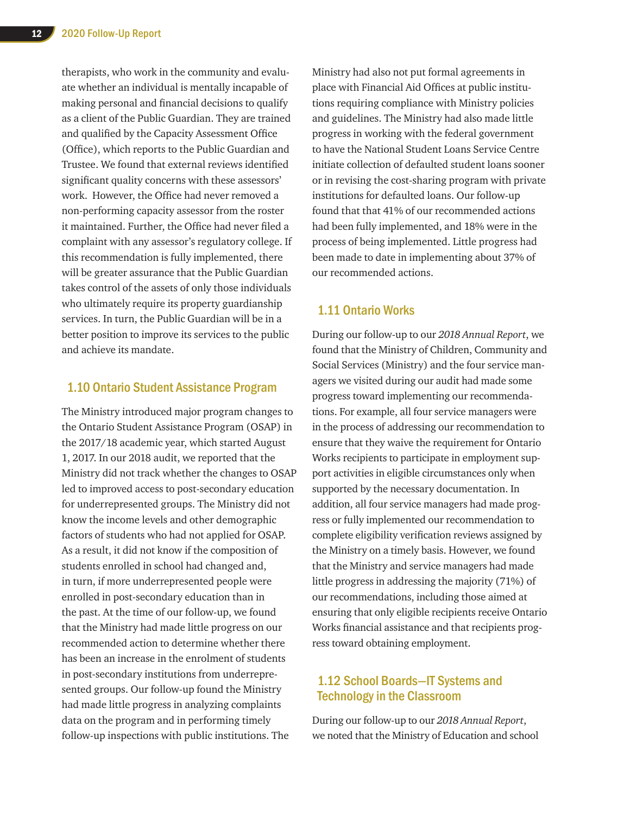therapists, who work in the community and evaluate whether an individual is mentally incapable of making personal and financial decisions to qualify as a client of the Public Guardian. They are trained and qualified by the Capacity Assessment Office (Office), which reports to the Public Guardian and Trustee. We found that external reviews identified significant quality concerns with these assessors' work. However, the Office had never removed a non-performing capacity assessor from the roster it maintained. Further, the Office had never filed a complaint with any assessor's regulatory college. If this recommendation is fully implemented, there will be greater assurance that the Public Guardian takes control of the assets of only those individuals who ultimately require its property guardianship services. In turn, the Public Guardian will be in a better position to improve its services to the public and achieve its mandate.

#### 1.10 Ontario Student Assistance Program

The Ministry introduced major program changes to the Ontario Student Assistance Program (OSAP) in the 2017/18 academic year, which started August 1, 2017. In our 2018 audit, we reported that the Ministry did not track whether the changes to OSAP led to improved access to post-secondary education for underrepresented groups. The Ministry did not know the income levels and other demographic factors of students who had not applied for OSAP. As a result, it did not know if the composition of students enrolled in school had changed and, in turn, if more underrepresented people were enrolled in post-secondary education than in the past. At the time of our follow-up, we found that the Ministry had made little progress on our recommended action to determine whether there has been an increase in the enrolment of students in post-secondary institutions from underrepresented groups. Our follow-up found the Ministry had made little progress in analyzing complaints data on the program and in performing timely follow-up inspections with public institutions. The

Ministry had also not put formal agreements in place with Financial Aid Offices at public institutions requiring compliance with Ministry policies and guidelines. The Ministry had also made little progress in working with the federal government to have the National Student Loans Service Centre initiate collection of defaulted student loans sooner or in revising the cost-sharing program with private institutions for defaulted loans. Our follow-up found that that 41% of our recommended actions had been fully implemented, and 18% were in the process of being implemented. Little progress had been made to date in implementing about 37% of our recommended actions.

#### 1.11 Ontario Works

During our follow-up to our *2018 Annual Report*, we found that the Ministry of Children, Community and Social Services (Ministry) and the four service managers we visited during our audit had made some progress toward implementing our recommendations. For example, all four service managers were in the process of addressing our recommendation to ensure that they waive the requirement for Ontario Works recipients to participate in employment support activities in eligible circumstances only when supported by the necessary documentation. In addition, all four service managers had made progress or fully implemented our recommendation to complete eligibility verification reviews assigned by the Ministry on a timely basis. However, we found that the Ministry and service managers had made little progress in addressing the majority (71%) of our recommendations, including those aimed at ensuring that only eligible recipients receive Ontario Works financial assistance and that recipients progress toward obtaining employment.

### 1.12 School Boards—IT Systems and Technology in the Classroom

During our follow-up to our *2018 Annual Report*, we noted that the Ministry of Education and school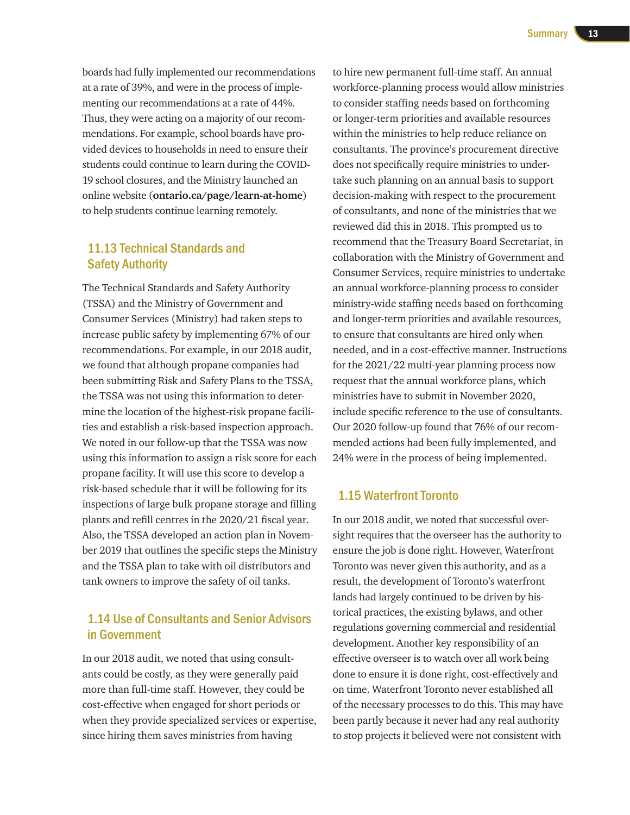boards had fully implemented our recommendations at a rate of 39%, and were in the process of implementing our recommendations at a rate of 44%. Thus, they were acting on a majority of our recommendations. For example, school boards have provided devices to households in need to ensure their students could continue to learn during the COVID-19 school closures, and the Ministry launched an online website (**[ontario.ca/page/learn-at-home](http://ontario.ca/page/learn-at-home)**) to help students continue learning remotely.

#### 11.13 Technical Standards and Safety Authority

The Technical Standards and Safety Authority (TSSA) and the Ministry of Government and Consumer Services (Ministry) had taken steps to increase public safety by implementing 67% of our recommendations. For example, in our 2018 audit, we found that although propane companies had been submitting Risk and Safety Plans to the TSSA, the TSSA was not using this information to determine the location of the highest-risk propane facilities and establish a risk-based inspection approach. We noted in our follow-up that the TSSA was now using this information to assign a risk score for each propane facility. It will use this score to develop a risk-based schedule that it will be following for its inspections of large bulk propane storage and filling plants and refill centres in the 2020/21 fiscal year. Also, the TSSA developed an action plan in November 2019 that outlines the specific steps the Ministry and the TSSA plan to take with oil distributors and tank owners to improve the safety of oil tanks.

## 1.14 Use of Consultants and Senior Advisors in Government

In our 2018 audit, we noted that using consultants could be costly, as they were generally paid more than full-time staff. However, they could be cost-effective when engaged for short periods or when they provide specialized services or expertise, since hiring them saves ministries from having

to hire new permanent full-time staff. An annual workforce-planning process would allow ministries to consider staffing needs based on forthcoming or longer-term priorities and available resources within the ministries to help reduce reliance on consultants. The province's procurement directive does not specifically require ministries to undertake such planning on an annual basis to support decision-making with respect to the procurement of consultants, and none of the ministries that we reviewed did this in 2018. This prompted us to recommend that the Treasury Board Secretariat, in collaboration with the Ministry of Government and Consumer Services, require ministries to undertake an annual workforce-planning process to consider ministry-wide staffing needs based on forthcoming and longer-term priorities and available resources, to ensure that consultants are hired only when needed, and in a cost-effective manner. Instructions for the 2021/22 multi-year planning process now request that the annual workforce plans, which ministries have to submit in November 2020, include specific reference to the use of consultants. Our 2020 follow-up found that 76% of our recommended actions had been fully implemented, and 24% were in the process of being implemented.

#### 1.15 Waterfront Toronto

In our 2018 audit, we noted that successful oversight requires that the overseer has the authority to ensure the job is done right. However, Waterfront Toronto was never given this authority, and as a result, the development of Toronto's waterfront lands had largely continued to be driven by historical practices, the existing bylaws, and other regulations governing commercial and residential development. Another key responsibility of an effective overseer is to watch over all work being done to ensure it is done right, cost-effectively and on time. Waterfront Toronto never established all of the necessary processes to do this. This may have been partly because it never had any real authority to stop projects it believed were not consistent with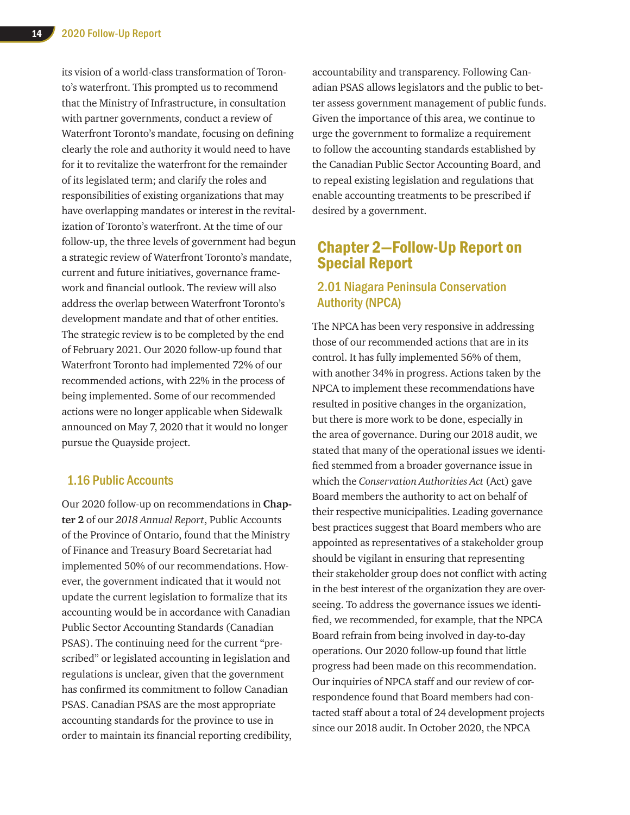its vision of a world-class transformation of Toronto's waterfront. This prompted us to recommend that the Ministry of Infrastructure, in consultation with partner governments, conduct a review of Waterfront Toronto's mandate, focusing on defining clearly the role and authority it would need to have for it to revitalize the waterfront for the remainder of its legislated term; and clarify the roles and responsibilities of existing organizations that may have overlapping mandates or interest in the revitalization of Toronto's waterfront. At the time of our follow-up, the three levels of government had begun a strategic review of Waterfront Toronto's mandate, current and future initiatives, governance framework and financial outlook. The review will also address the overlap between Waterfront Toronto's development mandate and that of other entities. The strategic review is to be completed by the end of February 2021. Our 2020 follow-up found that Waterfront Toronto had implemented 72% of our recommended actions, with 22% in the process of being implemented. Some of our recommended actions were no longer applicable when Sidewalk announced on May 7, 2020 that it would no longer pursue the Quayside project.

#### 1.16 Public Accounts

Our 2020 follow-up on recommendations in **Chapter 2** of our *2018 Annual Report*, Public Accounts of the Province of Ontario, found that the Ministry of Finance and Treasury Board Secretariat had implemented 50% of our recommendations. However, the government indicated that it would not update the current legislation to formalize that its accounting would be in accordance with Canadian Public Sector Accounting Standards (Canadian PSAS). The continuing need for the current "prescribed" or legislated accounting in legislation and regulations is unclear, given that the government has confirmed its commitment to follow Canadian PSAS. Canadian PSAS are the most appropriate accounting standards for the province to use in order to maintain its financial reporting credibility, accountability and transparency. Following Canadian PSAS allows legislators and the public to better assess government management of public funds. Given the importance of this area, we continue to urge the government to formalize a requirement to follow the accounting standards established by the Canadian Public Sector Accounting Board, and to repeal existing legislation and regulations that enable accounting treatments to be prescribed if desired by a government.

# Chapter 2—Follow-Up Report on Special Report

## 2.01 Niagara Peninsula Conservation Authority (NPCA)

The NPCA has been very responsive in addressing those of our recommended actions that are in its control. It has fully implemented 56% of them, with another 34% in progress. Actions taken by the NPCA to implement these recommendations have resulted in positive changes in the organization, but there is more work to be done, especially in the area of governance. During our 2018 audit, we stated that many of the operational issues we identified stemmed from a broader governance issue in which the *Conservation Authorities Act* (Act) gave Board members the authority to act on behalf of their respective municipalities. Leading governance best practices suggest that Board members who are appointed as representatives of a stakeholder group should be vigilant in ensuring that representing their stakeholder group does not conflict with acting in the best interest of the organization they are overseeing. To address the governance issues we identified, we recommended, for example, that the NPCA Board refrain from being involved in day-to-day operations. Our 2020 follow-up found that little progress had been made on this recommendation. Our inquiries of NPCA staff and our review of correspondence found that Board members had contacted staff about a total of 24 development projects since our 2018 audit. In October 2020, the NPCA